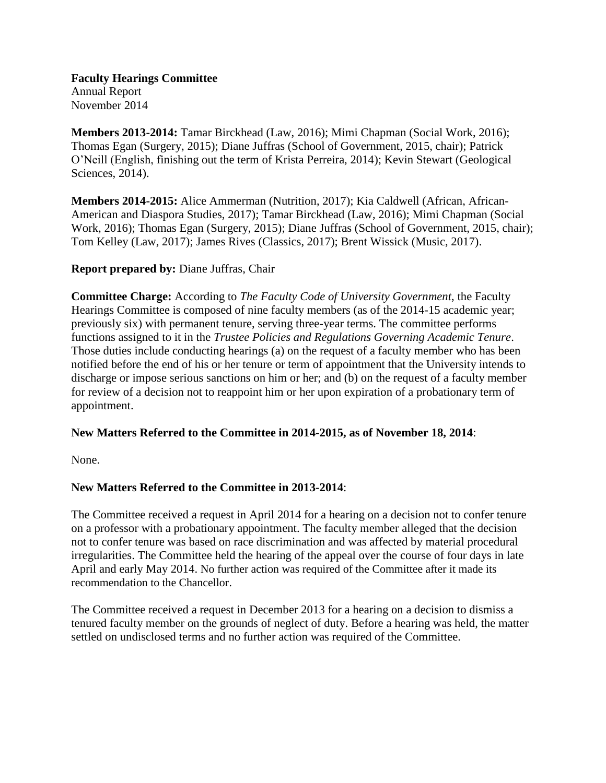**Faculty Hearings Committee** Annual Report November 2014

**Members 2013-2014:** Tamar Birckhead (Law, 2016); Mimi Chapman (Social Work, 2016); Thomas Egan (Surgery, 2015); Diane Juffras (School of Government, 2015, chair); Patrick O'Neill (English, finishing out the term of Krista Perreira, 2014); Kevin Stewart (Geological Sciences, 2014).

**Members 2014-2015:** Alice Ammerman (Nutrition, 2017); Kia Caldwell (African, African-American and Diaspora Studies, 2017); Tamar Birckhead (Law, 2016); Mimi Chapman (Social Work, 2016); Thomas Egan (Surgery, 2015); Diane Juffras (School of Government, 2015, chair); Tom Kelley (Law, 2017); James Rives (Classics, 2017); Brent Wissick (Music, 2017).

## **Report prepared by:** Diane Juffras, Chair

**Committee Charge:** According to *The Faculty Code of University Government*, the Faculty Hearings Committee is composed of nine faculty members (as of the 2014-15 academic year; previously six) with permanent tenure, serving three-year terms. The committee performs functions assigned to it in the *Trustee Policies and Regulations Governing Academic Tenure*. Those duties include conducting hearings (a) on the request of a faculty member who has been notified before the end of his or her tenure or term of appointment that the University intends to discharge or impose serious sanctions on him or her; and (b) on the request of a faculty member for review of a decision not to reappoint him or her upon expiration of a probationary term of appointment.

## **New Matters Referred to the Committee in 2014-2015, as of November 18, 2014**:

None.

# **New Matters Referred to the Committee in 2013-2014**:

The Committee received a request in April 2014 for a hearing on a decision not to confer tenure on a professor with a probationary appointment. The faculty member alleged that the decision not to confer tenure was based on race discrimination and was affected by material procedural irregularities. The Committee held the hearing of the appeal over the course of four days in late April and early May 2014. No further action was required of the Committee after it made its recommendation to the Chancellor.

The Committee received a request in December 2013 for a hearing on a decision to dismiss a tenured faculty member on the grounds of neglect of duty. Before a hearing was held, the matter settled on undisclosed terms and no further action was required of the Committee.